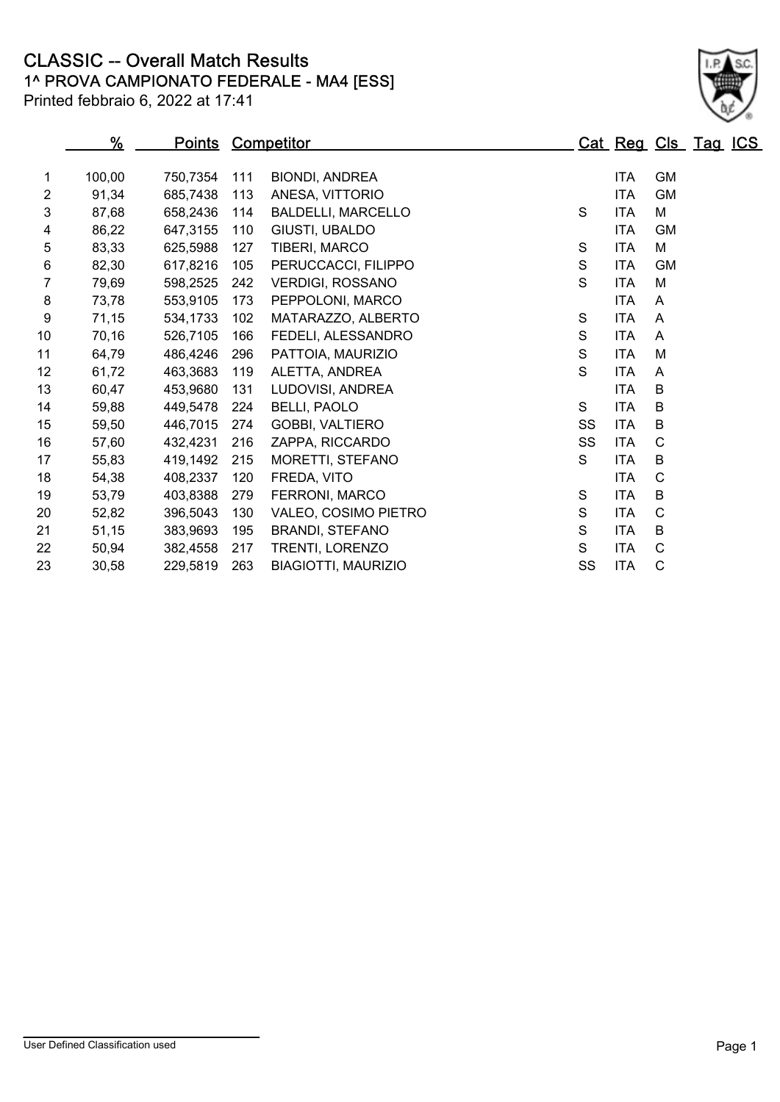1^ PROVA CAMPIONATO FEDERALE - MA4 [ESS] CLASSIC -- Overall Match Results

|                | $\frac{9}{6}$ |          |     | <b>Points Competitor</b>   |               |            |              | Cat Reg Cls Tag ICS |  |
|----------------|---------------|----------|-----|----------------------------|---------------|------------|--------------|---------------------|--|
|                |               |          |     |                            |               |            |              |                     |  |
| 1              | 100,00        | 750,7354 | 111 | <b>BIONDI, ANDREA</b>      |               | <b>ITA</b> | <b>GM</b>    |                     |  |
| $\overline{2}$ | 91,34         | 685,7438 | 113 | ANESA, VITTORIO            |               | <b>ITA</b> | <b>GM</b>    |                     |  |
| 3              | 87,68         | 658,2436 | 114 | <b>BALDELLI, MARCELLO</b>  | S             | <b>ITA</b> | M            |                     |  |
| 4              | 86,22         | 647,3155 | 110 | GIUSTI, UBALDO             |               | ITA        | GM           |                     |  |
| 5              | 83,33         | 625,5988 | 127 | TIBERI, MARCO              | $\mathbf S$   | <b>ITA</b> | M            |                     |  |
| 6              | 82,30         | 617,8216 | 105 | PERUCCACCI, FILIPPO        | ${\mathsf S}$ | <b>ITA</b> | <b>GM</b>    |                     |  |
| $\overline{7}$ | 79,69         | 598,2525 | 242 | <b>VERDIGI, ROSSANO</b>    | S             | <b>ITA</b> | M            |                     |  |
| 8              | 73,78         | 553,9105 | 173 | PEPPOLONI, MARCO           |               | <b>ITA</b> | A            |                     |  |
| 9              | 71,15         | 534,1733 | 102 | MATARAZZO, ALBERTO         | $\mathbf S$   | <b>ITA</b> | A            |                     |  |
| 10             | 70,16         | 526,7105 | 166 | FEDELI, ALESSANDRO         | S             | <b>ITA</b> | A            |                     |  |
| 11             | 64,79         | 486,4246 | 296 | PATTOIA, MAURIZIO          | S             | <b>ITA</b> | M            |                     |  |
| 12             | 61,72         | 463,3683 | 119 | ALETTA, ANDREA             | S             | <b>ITA</b> | A            |                     |  |
| 13             | 60,47         | 453,9680 | 131 | LUDOVISI, ANDREA           |               | <b>ITA</b> | B            |                     |  |
| 14             | 59,88         | 449,5478 | 224 | <b>BELLI, PAOLO</b>        | S             | <b>ITA</b> | B            |                     |  |
| 15             | 59,50         | 446,7015 | 274 | GOBBI, VALTIERO            | SS            | <b>ITA</b> | B            |                     |  |
| 16             | 57,60         | 432,4231 | 216 | ZAPPA, RICCARDO            | SS            | <b>ITA</b> | C            |                     |  |
| 17             | 55,83         | 419,1492 | 215 | MORETTI, STEFANO           | S             | <b>ITA</b> | B            |                     |  |
| 18             | 54,38         | 408,2337 | 120 | FREDA, VITO                |               | <b>ITA</b> | $\mathsf{C}$ |                     |  |
| 19             | 53,79         | 403,8388 | 279 | FERRONI, MARCO             | S             | <b>ITA</b> | B            |                     |  |
| 20             | 52,82         | 396,5043 | 130 | VALEO, COSIMO PIETRO       | S             | <b>ITA</b> | $\mathsf{C}$ |                     |  |
| 21             | 51,15         | 383,9693 | 195 | <b>BRANDI, STEFANO</b>     | ${\mathsf S}$ | <b>ITA</b> | B            |                     |  |
| 22             | 50,94         | 382,4558 | 217 | TRENTI, LORENZO            | S             | <b>ITA</b> | $\mathsf C$  |                     |  |
| 23             | 30,58         | 229,5819 | 263 | <b>BIAGIOTTI, MAURIZIO</b> | SS            | <b>ITA</b> | $\mathsf{C}$ |                     |  |

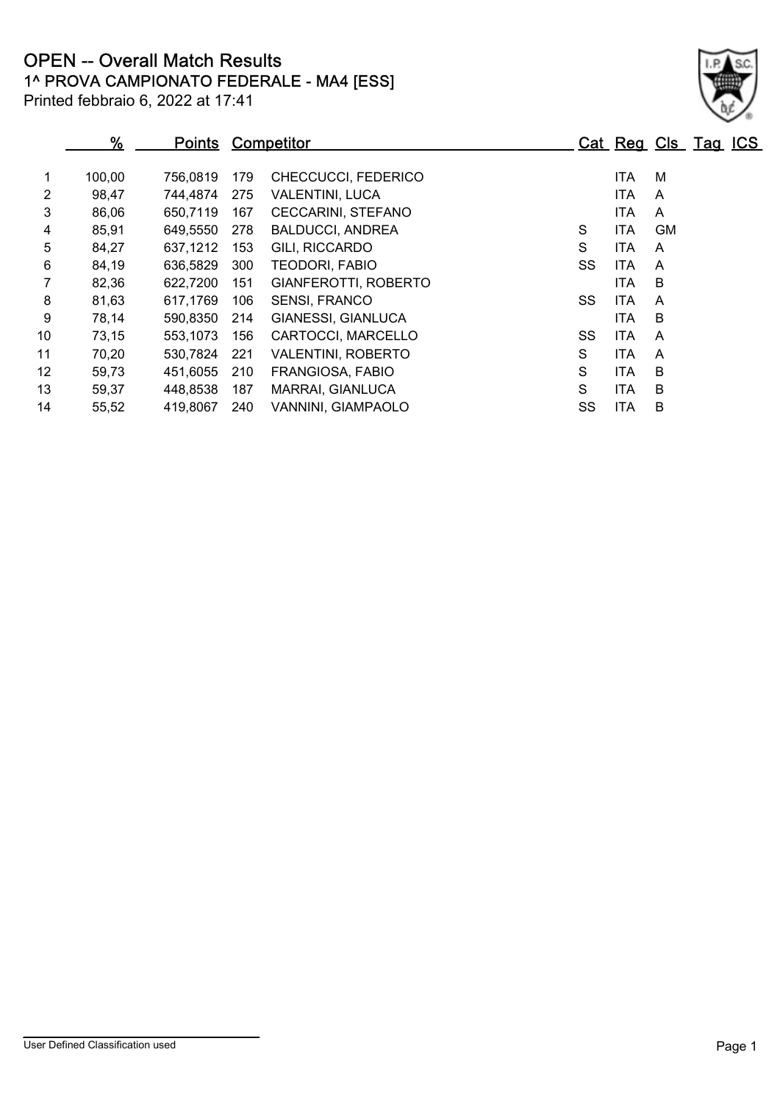1^ PROVA CAMPIONATO FEDERALE - MA4 [ESS] OPEN -- Overall Match Results

Printed febbraio 6, 2022 at 17:41

#### % Points Competitor Competitor Cat Reg Cls Tag ICS 1 100,00 756,0819 179 CHECCUCCI, FEDERICO ITA M 2 98.47 744.4874 275 VALENTINI, LUCA ITA A 3 86,06 650,7119 167 CECCARINI, STEFANO ITA A 4 85,91 649,5550 278 BALDUCCI, ANDREA S ITA GM 5 84,27 637,1212 153 GILI, RICCARDO S ITA A 6 84,19 636,5829 300 TEODORI, FABIO SS ITA A 7 82,36 622,7200 151 GIANFEROTTI, ROBERTO ITA B 8 81,63 617,1769 106 SENSI, FRANCO SS ITA A 9 78,14 590,8350 214 GIANESSI, GIANLUCA ITA B 10 73,15 553,1073 156 CARTOCCI, MARCELLO SS ITA A 11 70,20 530,7824 221 VALENTINI, ROBERTO S ITA A 12 59,73 451,6055 210 FRANGIOSA, FABIO S ITA B 13 59,37 448,8538 187 MARRAI, GIANLUCA S ITA B 14 55,52 419,8067 240 VANNINI, GIAMPAOLO SS ITA B

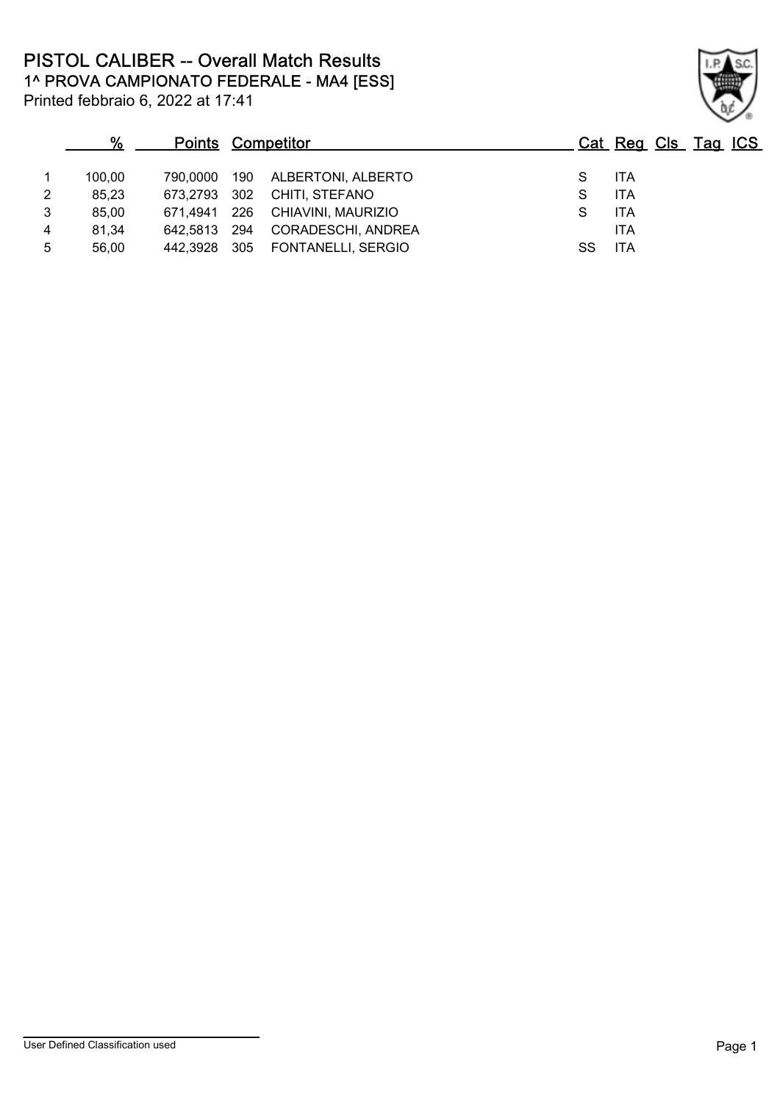1^ PROVA CAMPIONATO FEDERALE - MA4 [ESS] PISTOL CALIBER -- Overall Match Results

Printed febbraio 6, 2022 at 17:41

#### % Points Competitor Competitor Cat Reg Cls Tag ICS 1 100,00 790,0000 190 ALBERTONI, ALBERTO S ITA 2 85,23 673,2793 302 CHITI, STEFANO S ITA 3 85,00 671,4941 226 CHIAVINI, MAURIZIO S ITA 4 81,34 642,5813 294 CORADESCHI, ANDREA ITA 5 56,00 442,3928 305 FONTANELLI, SERGIO SS ITA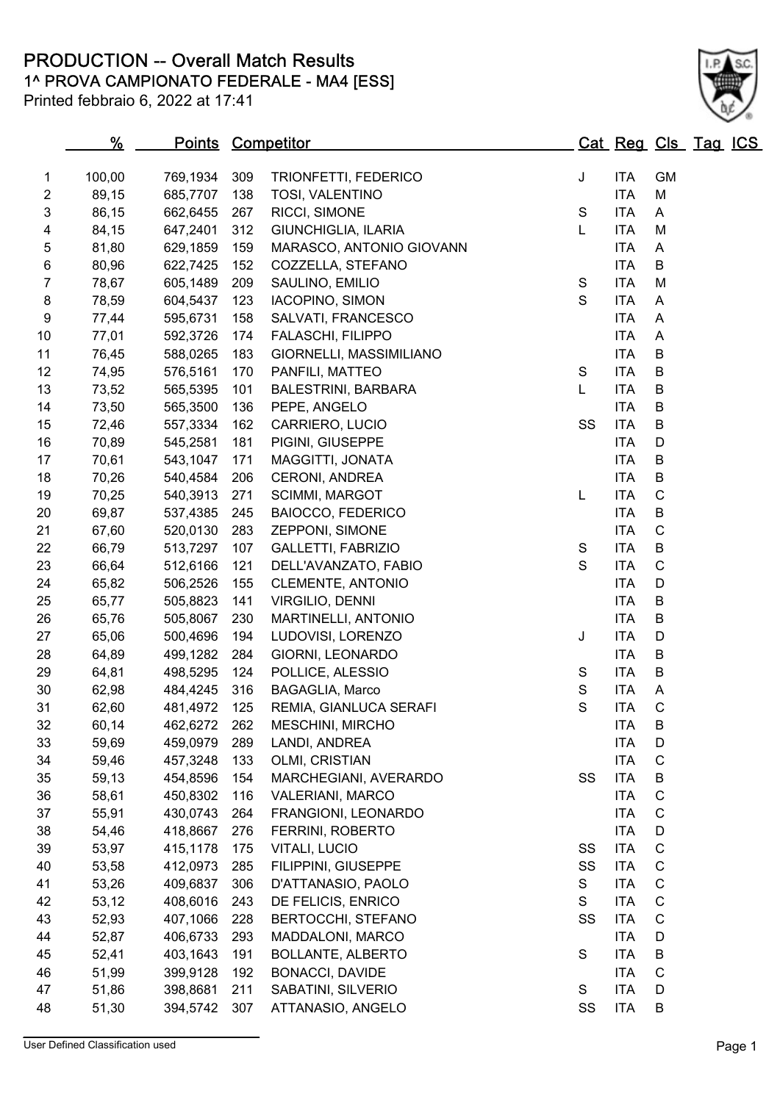1^ PROVA CAMPIONATO FEDERALE - MA4 [ESS] PRODUCTION -- Overall Match Results

|                | %      |          |     | <b>Points Competitor</b>   |               | Cat Reg Cls Tag ICS |              |  |
|----------------|--------|----------|-----|----------------------------|---------------|---------------------|--------------|--|
| 1              | 100,00 | 769,1934 | 309 | TRIONFETTI, FEDERICO       | J             | <b>ITA</b>          | <b>GM</b>    |  |
| $\overline{2}$ | 89,15  | 685,7707 | 138 | TOSI, VALENTINO            |               | <b>ITA</b>          | M            |  |
| 3              | 86,15  | 662,6455 | 267 | RICCI, SIMONE              | $\mathbf S$   | <b>ITA</b>          | A            |  |
| 4              | 84,15  | 647,2401 | 312 | <b>GIUNCHIGLIA, ILARIA</b> | L             | <b>ITA</b>          | M            |  |
| 5              | 81,80  | 629,1859 | 159 | MARASCO, ANTONIO GIOVANN   |               | <b>ITA</b>          | Α            |  |
| 6              | 80,96  | 622,7425 | 152 | COZZELLA, STEFANO          |               | <b>ITA</b>          | B            |  |
| $\overline{7}$ | 78,67  | 605,1489 | 209 | SAULINO, EMILIO            | ${\mathsf S}$ | <b>ITA</b>          | M            |  |
| 8              | 78,59  | 604,5437 | 123 | <b>IACOPINO, SIMON</b>     | S             | <b>ITA</b>          | Α            |  |
| 9              | 77,44  | 595,6731 | 158 | SALVATI, FRANCESCO         |               | <b>ITA</b>          | A            |  |
| 10             | 77,01  | 592,3726 | 174 | FALASCHI, FILIPPO          |               | <b>ITA</b>          | Α            |  |
| 11             | 76,45  | 588,0265 | 183 | GIORNELLI, MASSIMILIANO    |               | <b>ITA</b>          | B            |  |
| 12             | 74,95  | 576,5161 | 170 | PANFILI, MATTEO            | S             | <b>ITA</b>          | B            |  |
| 13             | 73,52  | 565,5395 | 101 | <b>BALESTRINI, BARBARA</b> | L             | <b>ITA</b>          | B            |  |
| 14             | 73,50  | 565,3500 | 136 | PEPE, ANGELO               |               | <b>ITA</b>          | B            |  |
| 15             | 72,46  | 557,3334 | 162 | CARRIERO, LUCIO            | SS            | <b>ITA</b>          | B            |  |
| 16             | 70,89  | 545,2581 | 181 | PIGINI, GIUSEPPE           |               | <b>ITA</b>          | D            |  |
| 17             | 70,61  | 543,1047 | 171 | MAGGITTI, JONATA           |               | <b>ITA</b>          | B            |  |
| 18             | 70,26  | 540,4584 | 206 | <b>CERONI, ANDREA</b>      |               | <b>ITA</b>          | B            |  |
| 19             | 70,25  | 540,3913 | 271 | SCIMMI, MARGOT             | L             | <b>ITA</b>          | $\mathsf C$  |  |
| 20             | 69,87  | 537,4385 | 245 | <b>BAIOCCO, FEDERICO</b>   |               | <b>ITA</b>          | B            |  |
| 21             | 67,60  | 520,0130 | 283 | ZEPPONI, SIMONE            |               | <b>ITA</b>          | $\mathsf C$  |  |
| 22             | 66,79  | 513,7297 | 107 | <b>GALLETTI, FABRIZIO</b>  | ${\mathbb S}$ | <b>ITA</b>          | B            |  |
| 23             | 66,64  | 512,6166 | 121 | DELL'AVANZATO, FABIO       | $\mathsf{S}$  | <b>ITA</b>          | $\mathsf C$  |  |
| 24             | 65,82  | 506,2526 | 155 | CLEMENTE, ANTONIO          |               | <b>ITA</b>          | D            |  |
| 25             | 65,77  | 505,8823 | 141 | VIRGILIO, DENNI            |               | <b>ITA</b>          | B            |  |
| 26             | 65,76  | 505,8067 | 230 | MARTINELLI, ANTONIO        |               | <b>ITA</b>          | B            |  |
| 27             | 65,06  | 500,4696 | 194 | LUDOVISI, LORENZO          | J             | <b>ITA</b>          | D            |  |
| 28             | 64,89  | 499,1282 | 284 | GIORNI, LEONARDO           |               | <b>ITA</b>          | B            |  |
| 29             | 64,81  | 498,5295 | 124 | POLLICE, ALESSIO           | $\mathbb S$   | <b>ITA</b>          | B            |  |
| 30             | 62,98  | 484,4245 | 316 | BAGAGLIA, Marco            | ${\mathbb S}$ | <b>ITA</b>          | Α            |  |
| 31             | 62,60  | 481,4972 | 125 | REMIA, GIANLUCA SERAFI     | $\mathbf S$   | <b>ITA</b>          | $\mathsf C$  |  |
| 32             | 60,14  | 462,6272 | 262 | MESCHINI, MIRCHO           |               | <b>ITA</b>          | B            |  |
| 33             | 59,69  | 459,0979 | 289 | LANDI, ANDREA              |               | <b>ITA</b>          | D            |  |
| 34             | 59,46  | 457,3248 | 133 | OLMI, CRISTIAN             |               | <b>ITA</b>          | C            |  |
| 35             | 59,13  | 454,8596 | 154 | MARCHEGIANI, AVERARDO      | SS            | <b>ITA</b>          | B            |  |
| 36             | 58,61  | 450,8302 | 116 | <b>VALERIANI, MARCO</b>    |               | ITA                 | C            |  |
| 37             | 55,91  | 430,0743 | 264 | FRANGIONI, LEONARDO        |               | <b>ITA</b>          | $\mathsf{C}$ |  |
| 38             | 54,46  | 418,8667 | 276 | FERRINI, ROBERTO           |               | <b>ITA</b>          | D            |  |
| 39             | 53,97  | 415,1178 | 175 | VITALI, LUCIO              | SS            | <b>ITA</b>          | C            |  |
| 40             | 53,58  | 412,0973 | 285 | FILIPPINI, GIUSEPPE        | SS            | <b>ITA</b>          | C            |  |
| 41             | 53,26  | 409,6837 | 306 | D'ATTANASIO, PAOLO         | S             | <b>ITA</b>          | $\mathsf{C}$ |  |
| 42             | 53,12  | 408,6016 | 243 | DE FELICIS, ENRICO         | S             | <b>ITA</b>          | C            |  |
| 43             | 52,93  | 407,1066 | 228 | <b>BERTOCCHI, STEFANO</b>  | SS            | <b>ITA</b>          | C            |  |
| 44             | 52,87  | 406,6733 | 293 | MADDALONI, MARCO           |               | <b>ITA</b>          | D            |  |
| 45             | 52,41  | 403,1643 | 191 | <b>BOLLANTE, ALBERTO</b>   | ${\mathsf S}$ | <b>ITA</b>          | B            |  |
| 46             | 51,99  | 399,9128 | 192 | <b>BONACCI, DAVIDE</b>     |               | <b>ITA</b>          | C            |  |
| 47             | 51,86  | 398,8681 | 211 | SABATINI, SILVERIO         | S             | <b>ITA</b>          | D            |  |
| 48             | 51,30  | 394,5742 | 307 | ATTANASIO, ANGELO          | SS            | <b>ITA</b>          | B            |  |

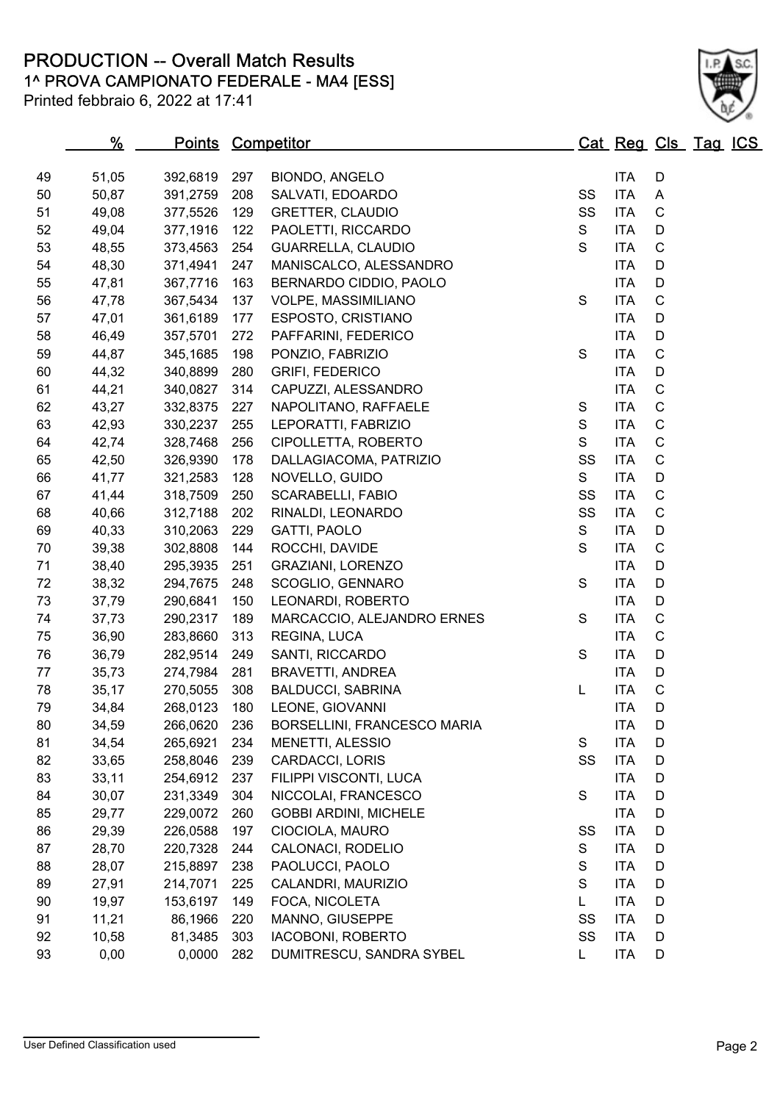1^ PROVA CAMPIONATO FEDERALE - MA4 [ESS] PRODUCTION -- Overall Match Results

|    | %     |          |     | <b>Points Competitor</b>     |    | Cat Reg Cls Tag ICS |              |  |
|----|-------|----------|-----|------------------------------|----|---------------------|--------------|--|
|    |       |          |     |                              |    |                     |              |  |
| 49 | 51,05 | 392,6819 | 297 | <b>BIONDO, ANGELO</b>        |    | <b>ITA</b>          | D            |  |
| 50 | 50,87 | 391,2759 | 208 | SALVATI, EDOARDO             | SS | <b>ITA</b>          | A            |  |
| 51 | 49,08 | 377,5526 | 129 | <b>GRETTER, CLAUDIO</b>      | SS | <b>ITA</b>          | C            |  |
| 52 | 49,04 | 377,1916 | 122 | PAOLETTI, RICCARDO           | S  | <b>ITA</b>          | D            |  |
| 53 | 48,55 | 373,4563 | 254 | GUARRELLA, CLAUDIO           | S  | <b>ITA</b>          | $\mathsf C$  |  |
| 54 | 48,30 | 371,4941 | 247 | MANISCALCO, ALESSANDRO       |    | <b>ITA</b>          | D            |  |
| 55 | 47,81 | 367,7716 | 163 | BERNARDO CIDDIO, PAOLO       |    | <b>ITA</b>          | D            |  |
| 56 | 47,78 | 367,5434 | 137 | VOLPE, MASSIMILIANO          | S  | <b>ITA</b>          | C            |  |
| 57 | 47,01 | 361,6189 | 177 | ESPOSTO, CRISTIANO           |    | <b>ITA</b>          | D            |  |
| 58 | 46,49 | 357,5701 | 272 | PAFFARINI, FEDERICO          |    | <b>ITA</b>          | D            |  |
| 59 | 44,87 | 345,1685 | 198 | PONZIO, FABRIZIO             | S  | <b>ITA</b>          | $\mathsf C$  |  |
| 60 | 44,32 | 340,8899 | 280 | <b>GRIFI, FEDERICO</b>       |    | <b>ITA</b>          | D            |  |
| 61 | 44,21 | 340,0827 | 314 | CAPUZZI, ALESSANDRO          |    | <b>ITA</b>          | $\mathsf C$  |  |
| 62 | 43,27 | 332,8375 | 227 | NAPOLITANO, RAFFAELE         | S  | <b>ITA</b>          | $\mathsf C$  |  |
| 63 | 42,93 | 330,2237 | 255 | LEPORATTI, FABRIZIO          | S  | <b>ITA</b>          | $\mathsf C$  |  |
| 64 | 42,74 | 328,7468 | 256 | CIPOLLETTA, ROBERTO          | S  | <b>ITA</b>          | C            |  |
| 65 | 42,50 | 326,9390 | 178 | DALLAGIACOMA, PATRIZIO       | SS | <b>ITA</b>          | $\mathsf C$  |  |
| 66 | 41,77 | 321,2583 | 128 | NOVELLO, GUIDO               | S  | <b>ITA</b>          | D            |  |
| 67 | 41,44 | 318,7509 | 250 | SCARABELLI, FABIO            | SS | <b>ITA</b>          | $\mathsf C$  |  |
| 68 | 40,66 | 312,7188 | 202 | RINALDI, LEONARDO            | SS | <b>ITA</b>          | $\mathsf C$  |  |
| 69 | 40,33 | 310,2063 | 229 | GATTI, PAOLO                 | S  | <b>ITA</b>          | D            |  |
| 70 | 39,38 | 302,8808 | 144 | ROCCHI, DAVIDE               | S  | <b>ITA</b>          | $\mathsf C$  |  |
| 71 | 38,40 | 295,3935 | 251 | GRAZIANI, LORENZO            |    | <b>ITA</b>          | D            |  |
| 72 | 38,32 | 294,7675 | 248 | SCOGLIO, GENNARO             | S  | <b>ITA</b>          | D            |  |
| 73 | 37,79 | 290,6841 | 150 | LEONARDI, ROBERTO            |    | <b>ITA</b>          | D            |  |
| 74 | 37,73 | 290,2317 | 189 | MARCACCIO, ALEJANDRO ERNES   | S  | <b>ITA</b>          | $\mathsf{C}$ |  |
| 75 | 36,90 | 283,8660 | 313 | REGINA, LUCA                 |    | <b>ITA</b>          | $\mathsf C$  |  |
| 76 | 36,79 | 282,9514 | 249 | SANTI, RICCARDO              | S  | <b>ITA</b>          | D            |  |
| 77 | 35,73 | 274,7984 | 281 | <b>BRAVETTI, ANDREA</b>      |    | <b>ITA</b>          | D            |  |
| 78 | 35,17 | 270,5055 | 308 | <b>BALDUCCI, SABRINA</b>     | L  | <b>ITA</b>          | $\mathsf C$  |  |
| 79 | 34,84 | 268,0123 | 180 | LEONE, GIOVANNI              |    | <b>ITA</b>          | D            |  |
| 80 | 34,59 | 266,0620 | 236 | BORSELLINI, FRANCESCO MARIA  |    | <b>ITA</b>          | $\mathsf D$  |  |
| 81 | 34,54 | 265,6921 | 234 | MENETTI, ALESSIO             | S  | <b>ITA</b>          | D            |  |
| 82 | 33,65 | 258,8046 | 239 | CARDACCI, LORIS              | SS | <b>ITA</b>          | D            |  |
| 83 | 33,11 | 254,6912 | 237 | FILIPPI VISCONTI, LUCA       |    | <b>ITA</b>          | D            |  |
| 84 | 30,07 | 231,3349 | 304 | NICCOLAI, FRANCESCO          | S  | <b>ITA</b>          | D            |  |
| 85 | 29,77 | 229,0072 | 260 | <b>GOBBI ARDINI, MICHELE</b> |    | <b>ITA</b>          | D            |  |
| 86 | 29,39 | 226,0588 | 197 | CIOCIOLA, MAURO              | SS | <b>ITA</b>          | D            |  |
| 87 | 28,70 | 220,7328 | 244 | CALONACI, RODELIO            | S  | <b>ITA</b>          | D            |  |
| 88 | 28,07 | 215,8897 | 238 | PAOLUCCI, PAOLO              | S  | <b>ITA</b>          | D            |  |
| 89 | 27,91 | 214,7071 | 225 | CALANDRI, MAURIZIO           | S  | <b>ITA</b>          | D            |  |
| 90 | 19,97 | 153,6197 | 149 | FOCA, NICOLETA               | L  | <b>ITA</b>          | D            |  |
| 91 | 11,21 | 86,1966  | 220 | MANNO, GIUSEPPE              | SS | <b>ITA</b>          | D            |  |
| 92 | 10,58 | 81,3485  | 303 | IACOBONI, ROBERTO            | SS | <b>ITA</b>          | D            |  |
| 93 | 0,00  | 0,0000   | 282 | DUMITRESCU, SANDRA SYBEL     | L. | <b>ITA</b>          | D            |  |
|    |       |          |     |                              |    |                     |              |  |

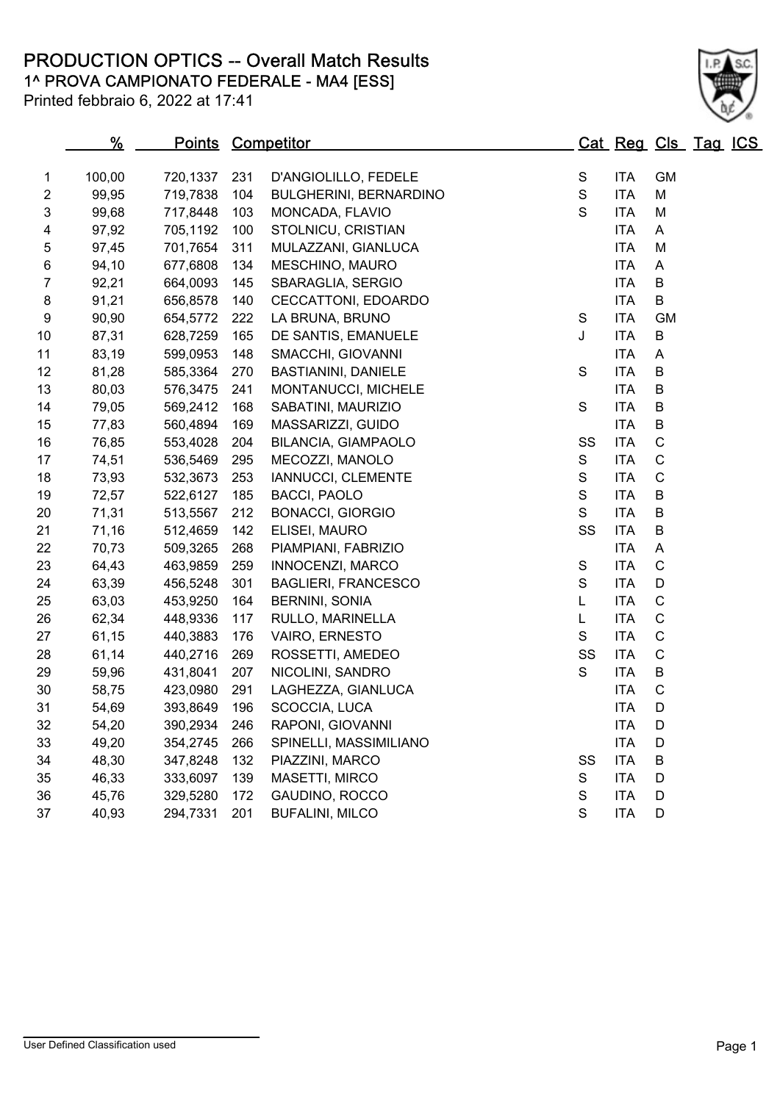### 1^ PROVA CAMPIONATO FEDERALE - MA4 [ESS] PRODUCTION OPTICS -- Overall Match Results

|                | %      |          |     | <b>Points Competitor</b>   |               |            |              | Cat Reg Cls Tag ICS |  |
|----------------|--------|----------|-----|----------------------------|---------------|------------|--------------|---------------------|--|
| 1              | 100,00 | 720,1337 | 231 | D'ANGIOLILLO, FEDELE       | S             | <b>ITA</b> | <b>GM</b>    |                     |  |
| $\overline{2}$ | 99,95  | 719,7838 | 104 | BULGHERINI, BERNARDINO     | ${\mathsf S}$ | <b>ITA</b> | M            |                     |  |
| 3              | 99,68  | 717,8448 | 103 | MONCADA, FLAVIO            | S             | <b>ITA</b> | M            |                     |  |
| 4              | 97,92  | 705,1192 | 100 | STOLNICU, CRISTIAN         |               | <b>ITA</b> | Α            |                     |  |
| 5              | 97,45  | 701,7654 | 311 | MULAZZANI, GIANLUCA        |               | <b>ITA</b> | M            |                     |  |
| 6              | 94,10  | 677,6808 | 134 | MESCHINO, MAURO            |               | <b>ITA</b> | А            |                     |  |
| 7              | 92,21  | 664,0093 | 145 | SBARAGLIA, SERGIO          |               | <b>ITA</b> | B            |                     |  |
| 8              | 91,21  | 656,8578 | 140 | CECCATTONI, EDOARDO        |               | <b>ITA</b> | B            |                     |  |
| 9              | 90,90  | 654,5772 | 222 | LA BRUNA, BRUNO            | S             | <b>ITA</b> | <b>GM</b>    |                     |  |
| 10             | 87,31  | 628,7259 | 165 | DE SANTIS, EMANUELE        | J             | <b>ITA</b> | B            |                     |  |
| 11             | 83,19  | 599,0953 | 148 | SMACCHI, GIOVANNI          |               | <b>ITA</b> | A            |                     |  |
| 12             | 81,28  | 585,3364 | 270 | <b>BASTIANINI, DANIELE</b> | S             | <b>ITA</b> | B            |                     |  |
| 13             | 80,03  | 576,3475 | 241 | MONTANUCCI, MICHELE        |               | <b>ITA</b> | B            |                     |  |
| 14             | 79,05  | 569,2412 | 168 | SABATINI, MAURIZIO         | ${\mathsf S}$ | <b>ITA</b> | B            |                     |  |
| 15             | 77,83  | 560,4894 | 169 | MASSARIZZI, GUIDO          |               | <b>ITA</b> | B            |                     |  |
| 16             | 76,85  | 553,4028 | 204 | BILANCIA, GIAMPAOLO        | SS            | <b>ITA</b> | C            |                     |  |
| 17             | 74,51  | 536,5469 | 295 | MECOZZI, MANOLO            | S             | <b>ITA</b> | $\mathsf{C}$ |                     |  |
| 18             | 73,93  | 532,3673 | 253 | IANNUCCI, CLEMENTE         | ${\mathsf S}$ | <b>ITA</b> | C            |                     |  |
| 19             | 72,57  | 522,6127 | 185 | <b>BACCI, PAOLO</b>        | $\mathsf S$   | <b>ITA</b> | B            |                     |  |
| 20             | 71,31  | 513,5567 | 212 | <b>BONACCI, GIORGIO</b>    | S             | <b>ITA</b> | B            |                     |  |
| 21             | 71,16  | 512,4659 | 142 | ELISEI, MAURO              | SS            | <b>ITA</b> | B            |                     |  |
| 22             | 70,73  | 509,3265 | 268 | PIAMPIANI, FABRIZIO        |               | <b>ITA</b> | A            |                     |  |
| 23             | 64,43  | 463,9859 | 259 | INNOCENZI, MARCO           | $\mathbf S$   | <b>ITA</b> | C            |                     |  |
| 24             | 63,39  | 456,5248 | 301 | <b>BAGLIERI, FRANCESCO</b> | S             | <b>ITA</b> | D            |                     |  |
| 25             | 63,03  | 453,9250 | 164 | <b>BERNINI, SONIA</b>      | L             | <b>ITA</b> | $\mathsf{C}$ |                     |  |
| 26             | 62,34  | 448,9336 | 117 | RULLO, MARINELLA           | L             | <b>ITA</b> | C            |                     |  |
| 27             | 61,15  | 440,3883 | 176 | VAIRO, ERNESTO             | S             | <b>ITA</b> | C            |                     |  |
| 28             | 61,14  | 440,2716 | 269 | ROSSETTI, AMEDEO           | SS            | <b>ITA</b> | C            |                     |  |
| 29             | 59,96  | 431,8041 | 207 | NICOLINI, SANDRO           | S             | <b>ITA</b> | B            |                     |  |
| 30             | 58,75  | 423,0980 | 291 | LAGHEZZA, GIANLUCA         |               | <b>ITA</b> | C            |                     |  |
| 31             | 54,69  | 393,8649 | 196 | SCOCCIA, LUCA              |               | <b>ITA</b> | D            |                     |  |
| 32             | 54,20  | 390,2934 | 246 | RAPONI, GIOVANNI           |               | <b>ITA</b> | D            |                     |  |
| 33             | 49,20  | 354,2745 | 266 | SPINELLI, MASSIMILIANO     |               | <b>ITA</b> | D            |                     |  |
| 34             | 48,30  | 347,8248 | 132 | PIAZZINI, MARCO            | SS            | <b>ITA</b> | B            |                     |  |
| 35             | 46,33  | 333,6097 | 139 | MASETTI, MIRCO             | S             | <b>ITA</b> | D            |                     |  |
| 36             | 45,76  | 329,5280 | 172 | GAUDINO, ROCCO             | S             | <b>ITA</b> | D            |                     |  |
| 37             | 40,93  | 294,7331 | 201 | <b>BUFALINI, MILCO</b>     | $\mathsf S$   | <b>ITA</b> | D            |                     |  |
|                |        |          |     |                            |               |            |              |                     |  |

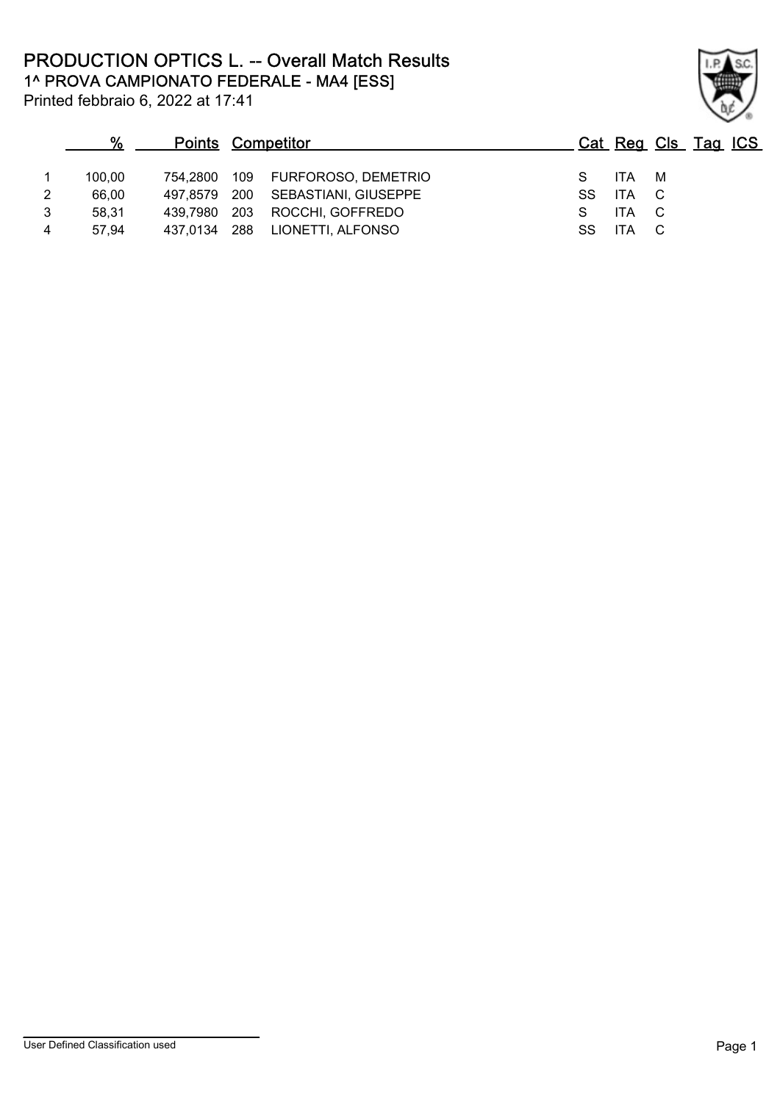1^ PROVA CAMPIONATO FEDERALE - MA4 [ESS] PRODUCTION OPTICS L. -- Overall Match Results

Printed febbraio 6, 2022 at 17:41

### % Points Competitor Competitor Cat Reg Cls Tag ICS 1 100,00 754,2800 109 FURFOROSO, DEMETRIO S ITA M 2 66.00 497.8579 200 SEBASTIANI, GIUSEPPE SS ITA C 3 58,31 439,7980 203 ROCCHI, GOFFREDO S ITA C 4 57,94 437,0134 288 LIONETTI, ALFONSO SS ITA C

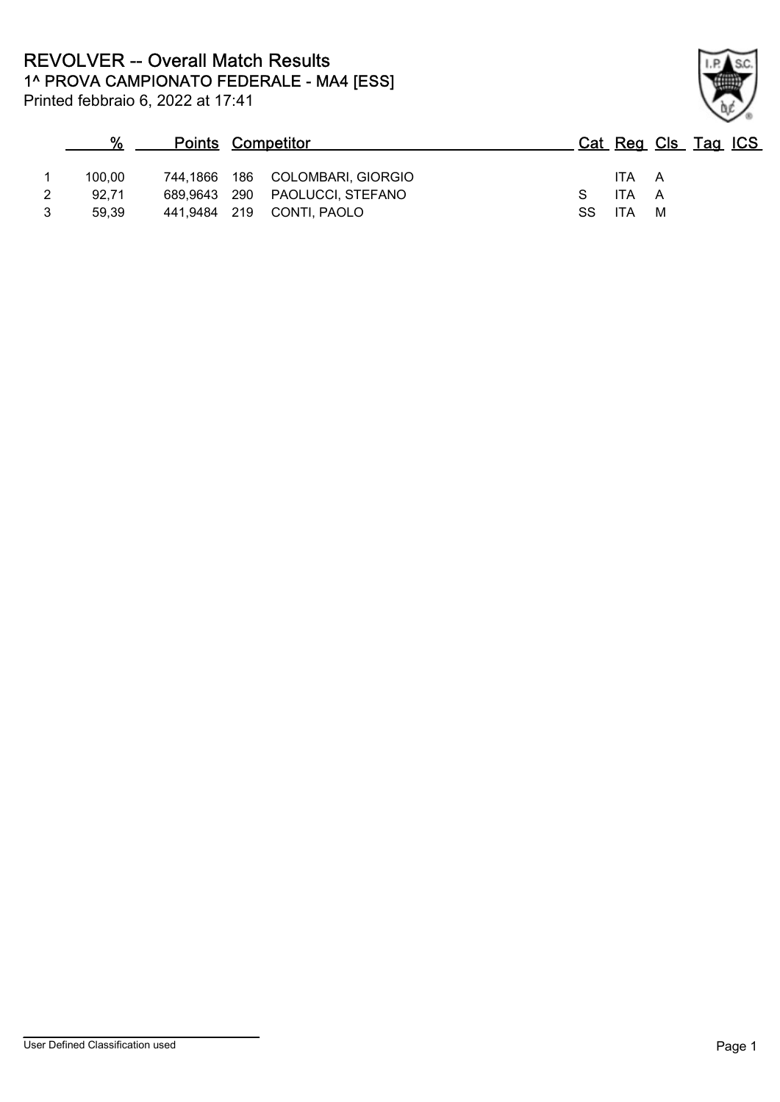Printed febbraio 6, 2022 at 17:41

### % Points Competitor Competitor Cat Reg Cls Tag ICS 1 100,00 744,1866 186 COLOMBARI, GIORGIO ITA A 2 92,71 689,9643 290 PAOLUCCI, STEFANO S ITA A 3 59,39 441,9484 219 CONTI, PAOLO SS ITA M

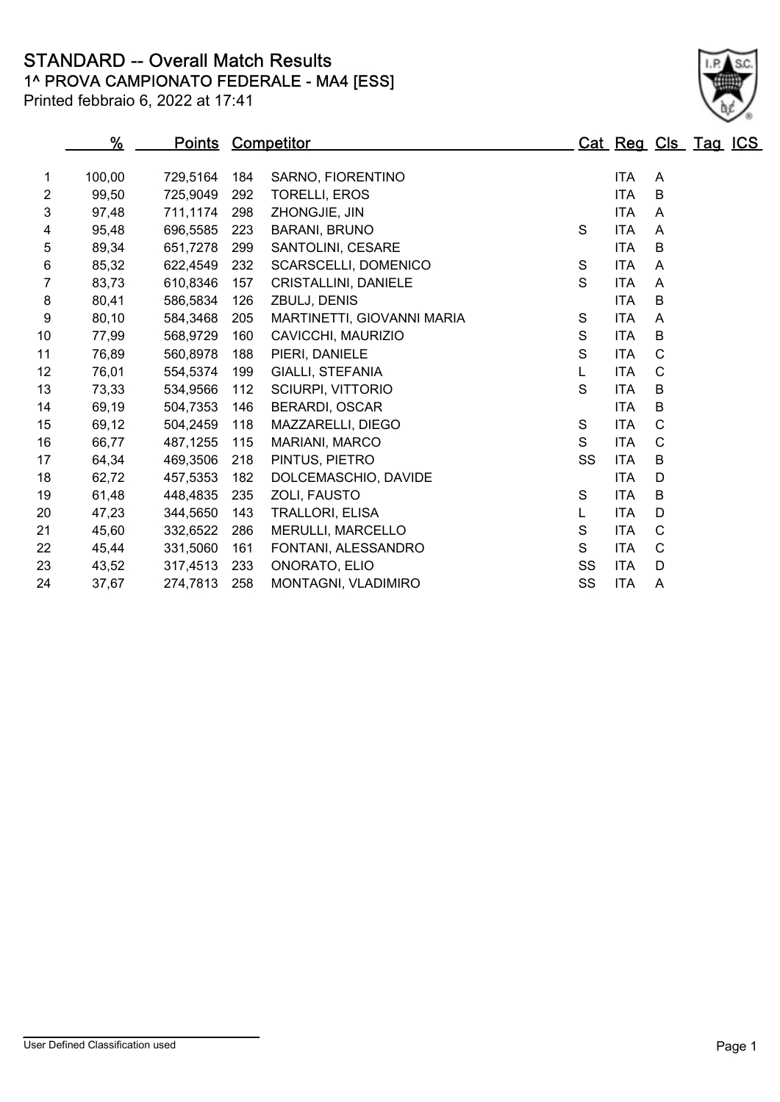STANDARD -- Overall Match Results

Printed febbraio 6, 2022 at 17:41

# 1^ PROVA CAMPIONATO FEDERALE - MA4 [ESS]

|                  | <u>%</u> | <u>Points</u> |     | <b>Competitor</b>          |               | <u> Cat Reg Cls Tag ICS</u> |              |  |
|------------------|----------|---------------|-----|----------------------------|---------------|-----------------------------|--------------|--|
|                  |          |               |     |                            |               |                             |              |  |
| 1                | 100,00   | 729,5164      | 184 | SARNO, FIORENTINO          |               | ITA                         | A            |  |
| $\overline{2}$   | 99,50    | 725,9049      | 292 | TORELLI, EROS              |               | ITA                         | B            |  |
| 3                | 97,48    | 711,1174      | 298 | ZHONGJIE, JIN              |               | <b>ITA</b>                  | A            |  |
| 4                | 95,48    | 696,5585      | 223 | <b>BARANI, BRUNO</b>       | S             | <b>ITA</b>                  | A            |  |
| 5                | 89,34    | 651,7278      | 299 | SANTOLINI, CESARE          |               | <b>ITA</b>                  | B            |  |
| 6                | 85,32    | 622,4549      | 232 | SCARSCELLI, DOMENICO       | ${\mathsf S}$ | ITA.                        | A            |  |
| 7                | 83,73    | 610,8346      | 157 | CRISTALLINI, DANIELE       | $\mathbf S$   | <b>ITA</b>                  | A            |  |
| $\bf 8$          | 80,41    | 586,5834      | 126 | ZBULJ, DENIS               |               | <b>ITA</b>                  | B            |  |
| $\boldsymbol{9}$ | 80,10    | 584,3468      | 205 | MARTINETTI, GIOVANNI MARIA | $\mathbf S$   | <b>ITA</b>                  | A            |  |
| 10               | 77,99    | 568,9729      | 160 | CAVICCHI, MAURIZIO         | S             | <b>ITA</b>                  | B            |  |
| 11               | 76,89    | 560,8978      | 188 | PIERI, DANIELE             | ${\mathsf S}$ | <b>ITA</b>                  | $\mathsf{C}$ |  |
| 12               | 76,01    | 554,5374      | 199 | GIALLI, STEFANIA           | L             | <b>ITA</b>                  | $\mathsf{C}$ |  |
| 13               | 73,33    | 534,9566      | 112 | SCIURPI, VITTORIO          | $\mathbf S$   | <b>ITA</b>                  | B            |  |
| 14               | 69,19    | 504,7353      | 146 | <b>BERARDI, OSCAR</b>      |               | <b>ITA</b>                  | B            |  |
| 15               | 69,12    | 504,2459      | 118 | MAZZARELLI, DIEGO          | S             | <b>ITA</b>                  | C            |  |
| 16               | 66,77    | 487,1255      | 115 | MARIANI, MARCO             | S             | <b>ITA</b>                  | C            |  |
| 17               | 64,34    | 469,3506      | 218 | PINTUS, PIETRO             | SS            | <b>ITA</b>                  | B            |  |
| 18               | 62,72    | 457,5353      | 182 | DOLCEMASCHIO, DAVIDE       |               | <b>ITA</b>                  | D            |  |
| 19               | 61,48    | 448,4835      | 235 | ZOLI, FAUSTO               | S             | <b>ITA</b>                  | B            |  |
| 20               | 47,23    | 344,5650      | 143 | <b>TRALLORI, ELISA</b>     | L             | <b>ITA</b>                  | D            |  |
| 21               | 45,60    | 332,6522      | 286 | MERULLI, MARCELLO          | $\mathsf S$   | <b>ITA</b>                  | $\mathsf{C}$ |  |
| 22               | 45,44    | 331,5060      | 161 | FONTANI, ALESSANDRO        | S             | <b>ITA</b>                  | C            |  |
| 23               | 43,52    | 317,4513      | 233 | ONORATO, ELIO              | SS            | <b>ITA</b>                  | D            |  |
| 24               | 37,67    | 274,7813      | 258 | MONTAGNI, VLADIMIRO        | SS            | <b>ITA</b>                  | A            |  |
|                  |          |               |     |                            |               |                             |              |  |